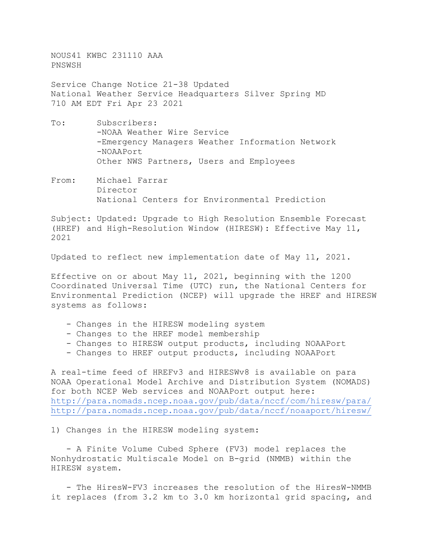NOUS41 KWBC 231110 AAA PNSWSH

Service Change Notice 21-38 Updated National Weather Service Headquarters Silver Spring MD 710 AM EDT Fri Apr 23 2021

- To: Subscribers: -NOAA Weather Wire Service -Emergency Managers Weather Information Network -NOAAPort Other NWS Partners, Users and Employees
- From: Michael Farrar Director National Centers for Environmental Prediction

Subject: Updated: Upgrade to High Resolution Ensemble Forecast (HREF) and High-Resolution Window (HIRESW): Effective May 11, 2021

Updated to reflect new implementation date of May 11, 2021.

Effective on or about May 11, 2021, beginning with the 1200 Coordinated Universal Time (UTC) run, the National Centers for Environmental Prediction (NCEP) will upgrade the HREF and HIRESW systems as follows:

- Changes in the HIRESW modeling system
- Changes to the HREF model membership
- Changes to HIRESW output products, including NOAAPort
- Changes to HREF output products, including NOAAPort

A real-time feed of HREFv3 and HIRESWv8 is available on para NOAA Operational Model Archive and Distribution System (NOMADS) for both NCEP Web services and NOAAPort output here: <http://para.nomads.ncep.noaa.gov/pub/data/nccf/com/hiresw/para/> <http://para.nomads.ncep.noaa.gov/pub/data/nccf/noaaport/hiresw/>

1) Changes in the HIRESW modeling system:

 - A Finite Volume Cubed Sphere (FV3) model replaces the Nonhydrostatic Multiscale Model on B-grid (NMMB) within the HIRESW system.

 - The HiresW-FV3 increases the resolution of the HiresW-NMMB it replaces (from 3.2 km to 3.0 km horizontal grid spacing, and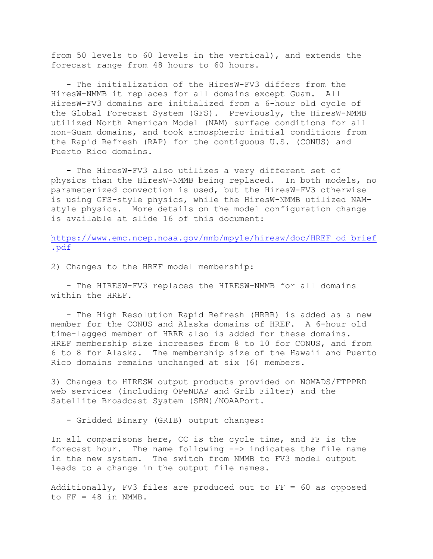from 50 levels to 60 levels in the vertical), and extends the forecast range from 48 hours to 60 hours.

 - The initialization of the HiresW-FV3 differs from the HiresW-NMMB it replaces for all domains except Guam. All HiresW-FV3 domains are initialized from a 6-hour old cycle of the Global Forecast System (GFS). Previously, the HiresW-NMMB utilized North American Model (NAM) surface conditions for all non-Guam domains, and took atmospheric initial conditions from the Rapid Refresh (RAP) for the contiguous U.S. (CONUS) and Puerto Rico domains.

 - The HiresW-FV3 also utilizes a very different set of physics than the HiresW-NMMB being replaced. In both models, no parameterized convection is used, but the HiresW-FV3 otherwise is using GFS-style physics, while the HiresW-NMMB utilized NAMstyle physics. More details on the model configuration change is available at slide 16 of this document:

[https://www.emc.ncep.noaa.gov/mmb/mpyle/hiresw/doc/HREF\\_od\\_brief](https://www.emc.ncep.noaa.gov/mmb/mpyle/hiresw/doc/HREF_od_brief.pdf) [.pdf](https://www.emc.ncep.noaa.gov/mmb/mpyle/hiresw/doc/HREF_od_brief.pdf)

2) Changes to the HREF model membership:

 - The HIRESW-FV3 replaces the HIRESW-NMMB for all domains within the HREF.

 - The High Resolution Rapid Refresh (HRRR) is added as a new member for the CONUS and Alaska domains of HREF. A 6-hour old time-lagged member of HRRR also is added for these domains. HREF membership size increases from 8 to 10 for CONUS, and from 6 to 8 for Alaska. The membership size of the Hawaii and Puerto Rico domains remains unchanged at six (6) members.

3) Changes to HIRESW output products provided on NOMADS/FTPPRD web services (including OPeNDAP and Grib Filter) and the Satellite Broadcast System (SBN)/NOAAPort.

- Gridded Binary (GRIB) output changes:

In all comparisons here, CC is the cycle time, and FF is the forecast hour. The name following --> indicates the file name in the new system. The switch from NMMB to FV3 model output leads to a change in the output file names.

Additionally, FV3 files are produced out to FF = 60 as opposed to  $FF = 48$  in NMMB.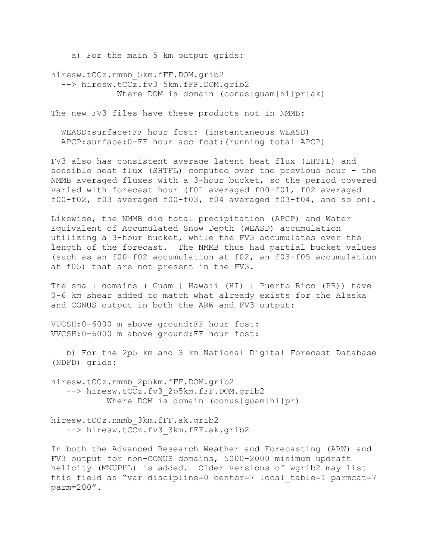a) For the main 5 km output grids:

hiresw.tCCz.nmmb\_5km.fFF.DOM.grib2 --> hiresw.tCCz.fv3 5km.fFF.DOM.grib2 Where DOM is domain (conus|quam|hi|pr|ak)

The new FV3 files have these products not in NMMB:

 WEASD:surface:FF hour fcst: (instantaneous WEASD) APCP:surface:0-FF hour acc fcst:(running total APCP)

FV3 also has consistent average latent heat flux (LHTFL) and sensible heat flux (SHTFL) computed over the previous hour - the NMMB averaged fluxes with a 3-hour bucket, so the period covered varied with forecast hour (f01 averaged f00-f01, f02 averaged f00-f02, f03 averaged f00-f03, f04 averaged f03-f04, and so on).

Likewise, the NMMB did total precipitation (APCP) and Water Equivalent of Accumulated Snow Depth (WEASD) accumulation utilizing a 3-hour bucket, while the FV3 accumulates over the length of the forecast. The NMMB thus had partial bucket values (such as an f00-f02 accumulation at f02, an f03-f05 accumulation at f05) that are not present in the FV3.

The small domains ( Guam | Hawaii (HI) | Puerto Rico (PR)) have 0-6 km shear added to match what already exists for the Alaska and CONUS output in both the ARW and FV3 output:

VUCSH:0-6000 m above ground:FF hour fcst: VVCSH:0-6000 m above ground:FF hour fcst:

 b) For the 2p5 km and 3 km National Digital Forecast Database (NDFD) grids:

hiresw.tCCz.nmmb\_2p5km.fFF.DOM.grib2 --> hiresw.tCCz.fv3 2p5km.fFF.DOM.grib2 Where DOM is domain (conus|quam|hi|pr)

hiresw.tCCz.nmmb\_3km.fFF.ak.grib2 --> hiresw.tCCz.fv3 3km.fFF.ak.grib2

In both the Advanced Research Weather and Forecasting (ARW) and FV3 output for non-CONUS domains, 5000-2000 minimum updraft helicity (MNUPHL) is added. Older versions of wgrib2 may list this field as "var discipline=0 center=7 local table=1 parmcat=7 parm=200".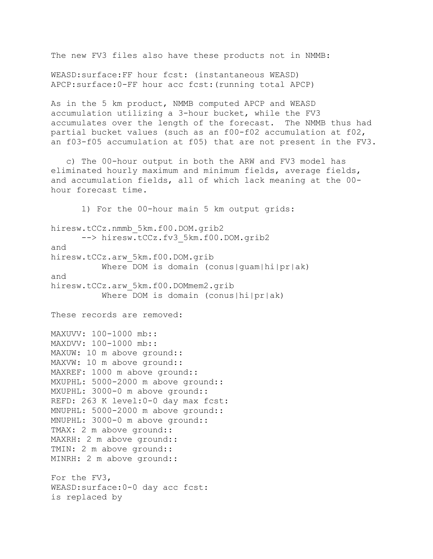The new FV3 files also have these products not in NMMB:

WEASD:surface:FF hour fcst: (instantaneous WEASD) APCP:surface:0-FF hour acc fcst:(running total APCP)

As in the 5 km product, NMMB computed APCP and WEASD accumulation utilizing a 3-hour bucket, while the FV3 accumulates over the length of the forecast. The NMMB thus had partial bucket values (such as an f00-f02 accumulation at f02, an f03-f05 accumulation at f05) that are not present in the FV3.

 c) The 00-hour output in both the ARW and FV3 model has eliminated hourly maximum and minimum fields, average fields, and accumulation fields, all of which lack meaning at the 00 hour forecast time.

 1) For the 00-hour main 5 km output grids: hiresw.tCCz.nmmb\_5km.f00.DOM.grib2 --> hiresw.tCCz.fv3 5km.f00.DOM.grib2 and hiresw.tCCz.arw\_5km.f00.DOM.grib Where DOM is domain (conus|quam|hi|pr|ak) and hiresw.tCCz.arw\_5km.f00.DOMmem2.grib Where DOM is domain (conus|hi|pr|ak) These records are removed: MAXUVV: 100-1000 mb:: MAXDVV: 100-1000 mb:: MAXUW: 10 m above ground:: MAXVW: 10 m above ground:: MAXREF: 1000 m above ground:: MXUPHL: 5000-2000 m above ground:: MXUPHL: 3000-0 m above ground:: REFD: 263 K level:0-0 day max fcst: MNUPHL: 5000-2000 m above ground:: MNUPHL: 3000-0 m above ground:: TMAX: 2 m above ground:: MAXRH: 2 m above ground:: TMIN: 2 m above ground:: MINRH: 2 m above ground:: For the FV3, WEASD:surface:0-0 day acc fcst: is replaced by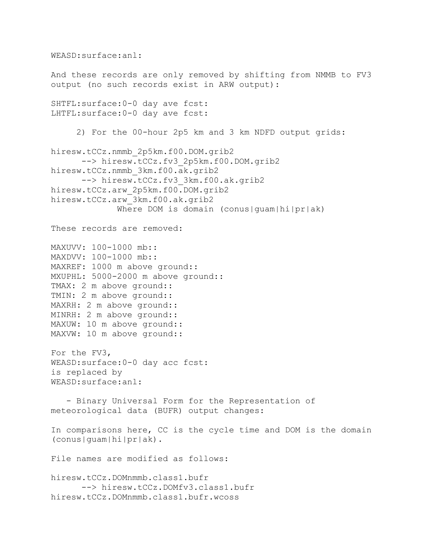```
And these records are only removed by shifting from NMMB to FV3 
output (no such records exist in ARW output):
SHTFL:surface:0-0 day ave fcst:
LHTFL:surface:0-0 day ave fcst:
      2) For the 00-hour 2p5 km and 3 km NDFD output grids:
hiresw.tCCz.nmmb_2p5km.f00.DOM.grib2
      --> hiresw.tCCz.fv3 2p5km.f00.DOM.grib2
hiresw.tCCz.nmmb_3km.f00.ak.grib2
      --> hiresw.tCCz.fv3 3km.f00.ak.grib2
hiresw.tCCz.arw_2p5km.f00.DOM.grib2
hiresw.tCCz.arw_3km.f00.ak.grib2
             Where DOM is domain (conus|quam|hi|pr|ak)
These records are removed:
MAXUVV: 100-1000 mb::
MAXDVV: 100-1000 mb::
MAXREF: 1000 m above ground::
MXUPHL: 5000-2000 m above ground::
TMAX: 2 m above ground::
TMIN: 2 m above ground::
MAXRH: 2 m above ground::
MINRH: 2 m above ground::
MAXUW: 10 m above ground::
MAXVW: 10 m above ground::
For the FV3,
WEASD:surface:0-0 day acc fcst:
is replaced by
WEASD:surface:anl:
    - Binary Universal Form for the Representation of 
meteorological data (BUFR) output changes:
In comparisons here, CC is the cycle time and DOM is the domain 
(conus|guam|hi|pr|ak).
File names are modified as follows:
hiresw.tCCz.DOMnmmb.class1.bufr
       --> hiresw.tCCz.DOMfv3.class1.bufr
hiresw.tCCz.DOMnmmb.class1.bufr.wcoss
```
WEASD:surface:anl: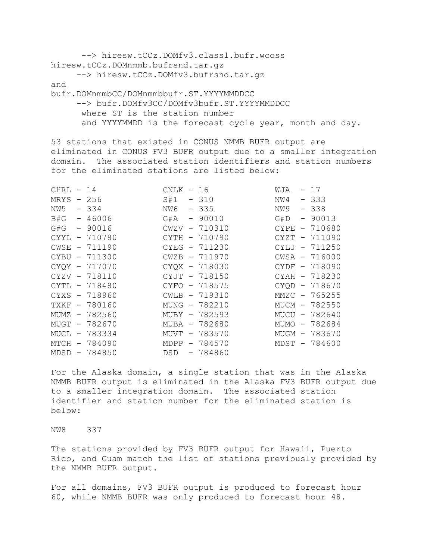--> hiresw.tCCz.DOMfv3.class1.bufr.wcoss hiresw.tCCz.DOMnmmb.bufrsnd.tar.gz --> hiresw.tCCz.DOMfv3.bufrsnd.tar.qz and bufr.DOMnmmbCC/DOMnmmbbufr.ST.YYYYMMDDCC --> bufr.DOMfv3CC/DOMfv3bufr.ST.YYYYMMDDCC where ST is the station number and YYYYMMDD is the forecast cycle year, month and day.

53 stations that existed in CONUS NMMB BUFR output are eliminated in CONUS FV3 BUFR output due to a smaller integration domain. The associated station identifiers and station numbers for the eliminated stations are listed below:

| CHRL        |                          | $-14$         | CNLK - 16  |               | WJA   | $-17$         |
|-------------|--------------------------|---------------|------------|---------------|-------|---------------|
| MRYS        |                          | $-256$        | S#1        | $-310$        | NW4   | $-333$        |
| NW5         |                          | $-334$        | NW 6       | $-335$        | NW9   | $-338$        |
| B#G         |                          | $-46006$      | G#A        | $-90010$      | G#D   | $-90013$      |
| G#G         |                          | $-90016$      | CWZV       | $-710310$     | CYPE  | $-710680$     |
| CYYL        |                          | $-710780$     | CYTH       | $-710790$     | CYZT  | $-711090$     |
| CWSE        |                          | $-711190$     | CYEG       | - 711230      | CYLJ  | - 711250      |
| <b>CYBU</b> |                          | $-711300$     | CWZB       | $-711970$     |       | CWSA - 716000 |
| CYQY        | $\overline{\phantom{a}}$ | 717070        |            | CYQX - 718030 | CYDF. | - 718090      |
|             |                          | CYZV - 718110 |            | CYJT - 718150 |       | CYAH - 718230 |
| CYTL        |                          | $-718480$     |            | CYFO - 718575 | CYQD  | $-718670$     |
| CYXS        |                          | $-718960$     |            | CWLB - 719310 |       | MMZC - 765255 |
| TXKF        |                          | - 780160      |            | MUNG - 782210 |       | MUCM - 782550 |
| MUMZ        |                          | $-782560$     |            | MUBY - 782593 |       | MUCU - 782640 |
| MUGT        |                          | $-782670$     |            | MUBA - 782680 |       | MUMO - 782684 |
| MUCL        |                          | $-783334$     |            | MUVT - 783570 |       | MUGM - 783670 |
| MTCH        | $\sim$                   | 784090        | MDPP       | - 784570      |       | MDST - 784600 |
| MDSD        |                          | 784850        | <b>DSD</b> | - 784860      |       |               |
|             |                          |               |            |               |       |               |

For the Alaska domain, a single station that was in the Alaska NMMB BUFR output is eliminated in the Alaska FV3 BUFR output due to a smaller integration domain. The associated station identifier and station number for the eliminated station is below:

NW8 337

The stations provided by FV3 BUFR output for Hawaii, Puerto Rico, and Guam match the list of stations previously provided by the NMMB BUFR output.

For all domains, FV3 BUFR output is produced to forecast hour 60, while NMMB BUFR was only produced to forecast hour 48.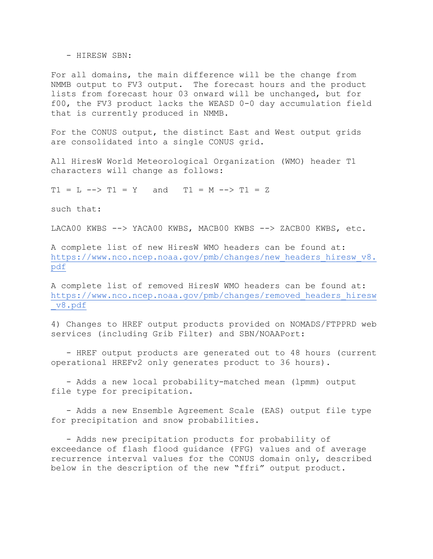- HIRESW SBN:

For all domains, the main difference will be the change from NMMB output to FV3 output. The forecast hours and the product lists from forecast hour 03 onward will be unchanged, but for f00, the FV3 product lacks the WEASD 0-0 day accumulation field that is currently produced in NMMB.

For the CONUS output, the distinct East and West output grids are consolidated into a single CONUS grid.

All HiresW World Meteorological Organization (WMO) header T1 characters will change as follows:

 $T1 = L$  -->  $T1 = Y$  and  $T1 = M$  -->  $T1 = Z$ 

such that:

LACA00 KWBS --> YACA00 KWBS, MACB00 KWBS --> ZACB00 KWBS, etc.

A complete list of new HiresW WMO headers can be found at: [https://www.nco.ncep.noaa.gov/pmb/changes/new\\_headers\\_hiresw\\_v8.](https://www.nco.ncep.noaa.gov/pmb/changes/new_headers_hiresw_v8.pdf) [pdf](https://www.nco.ncep.noaa.gov/pmb/changes/new_headers_hiresw_v8.pdf)

A complete list of removed HiresW WMO headers can be found at: [https://www.nco.ncep.noaa.gov/pmb/changes/removed\\_headers\\_hiresw](https://www.nco.ncep.noaa.gov/pmb/changes/removed_headers_hiresw_v8.pdf) [\\_v8.pdf](https://www.nco.ncep.noaa.gov/pmb/changes/removed_headers_hiresw_v8.pdf)

4) Changes to HREF output products provided on NOMADS/FTPPRD web services (including Grib Filter) and SBN/NOAAPort:

 - HREF output products are generated out to 48 hours (current operational HREFv2 only generates product to 36 hours).

 - Adds a new local probability-matched mean (lpmm) output file type for precipitation.

 - Adds a new Ensemble Agreement Scale (EAS) output file type for precipitation and snow probabilities.

 - Adds new precipitation products for probability of exceedance of flash flood guidance (FFG) values and of average recurrence interval values for the CONUS domain only, described below in the description of the new "ffri" output product.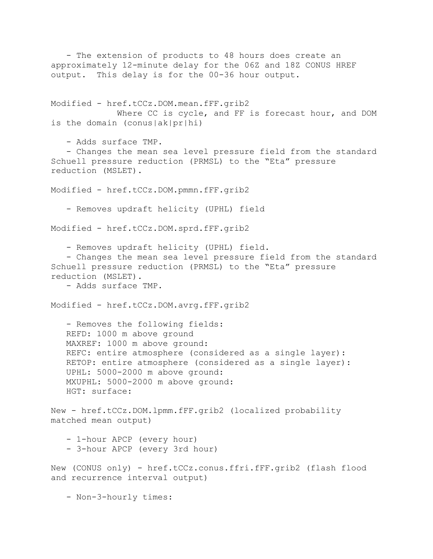- The extension of products to 48 hours does create an approximately 12-minute delay for the 06Z and 18Z CONUS HREF output. This delay is for the 00-36 hour output. Modified - href.tCCz.DOM.mean.fFF.grib2 Where CC is cycle, and FF is forecast hour, and DOM is the domain (conus|ak|pr|hi) - Adds surface TMP. - Changes the mean sea level pressure field from the standard Schuell pressure reduction (PRMSL) to the "Eta" pressure reduction (MSLET). Modified - href.tCCz.DOM.pmmn.fFF.grib2 - Removes updraft helicity (UPHL) field Modified - href.tCCz.DOM.sprd.fFF.grib2 - Removes updraft helicity (UPHL) field. - Changes the mean sea level pressure field from the standard Schuell pressure reduction (PRMSL) to the "Eta" pressure reduction (MSLET). - Adds surface TMP. Modified - href.tCCz.DOM.avrg.fFF.grib2 - Removes the following fields: REFD: 1000 m above ground MAXREF: 1000 m above ground: REFC: entire atmosphere (considered as a single layer): RETOP: entire atmosphere (considered as a single layer): UPHL: 5000-2000 m above ground: MXUPHL: 5000-2000 m above ground: HGT: surface: New - href.tCCz.DOM.lpmm.fFF.grib2 (localized probability matched mean output) - 1-hour APCP (every hour) - 3-hour APCP (every 3rd hour) New (CONUS only) - href.tCCz.conus.ffri.fFF.grib2 (flash flood and recurrence interval output) - Non-3-hourly times: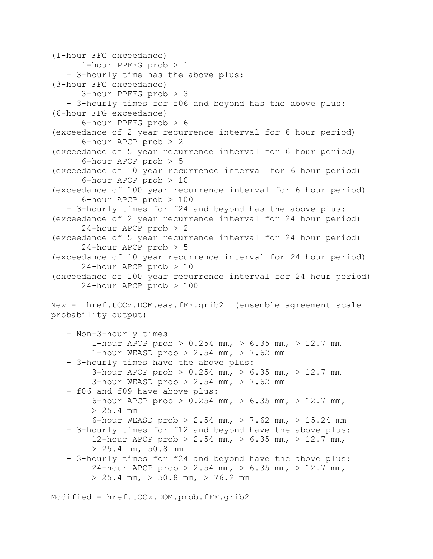(1-hour FFG exceedance) 1-hour PPFFG prob > 1 - 3-hourly time has the above plus: (3-hour FFG exceedance) 3-hour PPFFG prob > 3 - 3-hourly times for f06 and beyond has the above plus: (6-hour FFG exceedance) 6-hour PPFFG prob > 6 (exceedance of 2 year recurrence interval for 6 hour period) 6-hour APCP prob > 2 (exceedance of 5 year recurrence interval for 6 hour period) 6-hour APCP prob > 5 (exceedance of 10 year recurrence interval for 6 hour period) 6-hour APCP prob > 10 (exceedance of 100 year recurrence interval for 6 hour period) 6-hour APCP prob > 100 - 3-hourly times for f24 and beyond has the above plus: (exceedance of 2 year recurrence interval for 24 hour period) 24-hour APCP prob > 2 (exceedance of 5 year recurrence interval for 24 hour period) 24-hour APCP prob > 5 (exceedance of 10 year recurrence interval for 24 hour period) 24-hour APCP prob > 10 (exceedance of 100 year recurrence interval for 24 hour period) 24-hour APCP prob > 100 New - href.tCCz.DOM.eas.fFF.grib2 (ensemble agreement scale probability output) - Non-3-hourly times 1-hour APCP prob >  $0.254$  mm, >  $6.35$  mm, > 12.7 mm 1-hour WEASD prob > 2.54 mm, > 7.62 mm - 3-hourly times have the above plus: 3-hour APCP prob > 0.254 mm, > 6.35 mm, > 12.7 mm 3-hour WEASD prob  $> 2.54$  mm,  $> 7.62$  mm - f06 and f09 have above plus: 6-hour APCP prob  $> 0.254$  mm,  $> 6.35$  mm,  $> 12.7$  mm, > 25.4 mm 6-hour WEASD prob > 2.54 mm, > 7.62 mm, > 15.24 mm - 3-hourly times for f12 and beyond have the above plus: 12-hour APCP prob > 2.54 mm, > 6.35 mm, > 12.7 mm,  $> 25.4$  mm,  $50.8$  mm - 3-hourly times for f24 and beyond have the above plus: 24-hour APCP prob > 2.54 mm, > 6.35 mm, > 12.7 mm,  $> 25.4$  mm,  $> 50.8$  mm,  $> 76.2$  mm

Modified - href.tCCz.DOM.prob.fFF.grib2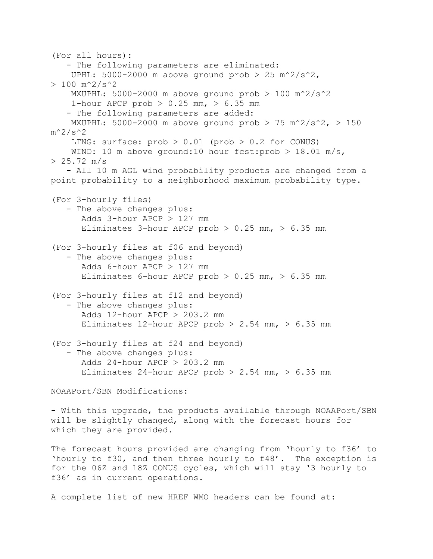(For all hours): - The following parameters are eliminated: UPHL:  $5000-2000$  m above ground prob > 25 m<sup>2</sup>/s<sup>2</sup>,  $> 100$  m<sup>2</sup>/s<sup>2</sup> MXUPHL: 5000-2000 m above ground prob  $> 100$  m<sup>2</sup>/s<sup>2</sup> 1-hour APCP prob  $> 0.25$  mm,  $> 6.35$  mm - The following parameters are added: MXUPHL: 5000-2000 m above ground prob > 75 m^2/s^2, > 150  $m^2/s^2$ LTNG: surface:  $prob > 0.01$  ( $prob > 0.2$  for CONUS) WIND: 10 m above ground:10 hour fcst: prob > 18.01 m/s,  $> 25.72$  m/s - All 10 m AGL wind probability products are changed from a point probability to a neighborhood maximum probability type. (For 3-hourly files) - The above changes plus: Adds 3-hour APCP > 127 mm Eliminates 3-hour APCP prob  $> 0.25$  mm,  $> 6.35$  mm (For 3-hourly files at f06 and beyond) - The above changes plus: Adds 6-hour APCP > 127 mm Eliminates 6-hour APCP prob  $> 0.25$  mm,  $> 6.35$  mm (For 3-hourly files at f12 and beyond) - The above changes plus: Adds  $12$ -hour APCP  $> 203.2$  mm Eliminates 12-hour APCP prob  $> 2.54$  mm,  $> 6.35$  mm (For 3-hourly files at f24 and beyond) - The above changes plus: Adds 24-hour APCP > 203.2 mm Eliminates 24-hour APCP prob  $> 2.54$  mm,  $> 6.35$  mm NOAAPort/SBN Modifications: - With this upgrade, the products available through NOAAPort/SBN

will be slightly changed, along with the forecast hours for which they are provided.

The forecast hours provided are changing from 'hourly to f36' to 'hourly to f30, and then three hourly to f48'. The exception is for the 06Z and 18Z CONUS cycles, which will stay '3 hourly to f36' as in current operations.

A complete list of new HREF WMO headers can be found at: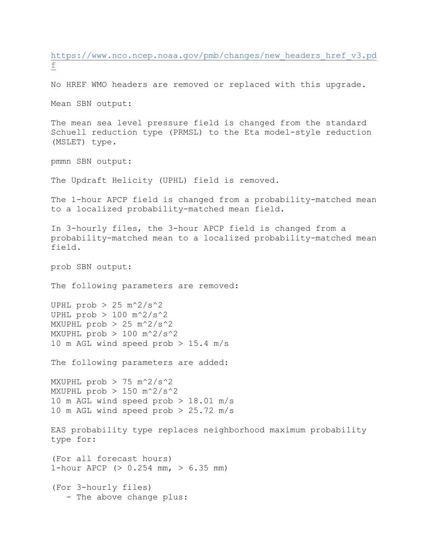[https://www.nco.ncep.noaa.gov/pmb/changes/new\\_headers\\_href\\_v3.pd](https://www.nco.ncep.noaa.gov/pmb/changes/new_headers_href_v3.pdf) [f](https://www.nco.ncep.noaa.gov/pmb/changes/new_headers_href_v3.pdf)

No HREF WMO headers are removed or replaced with this upgrade.

Mean SBN output:

The mean sea level pressure field is changed from the standard Schuell reduction type (PRMSL) to the Eta model-style reduction (MSLET) type.

pmmn SBN output:

The Updraft Helicity (UPHL) field is removed.

The 1-hour APCP field is changed from a probability-matched mean to a localized probability-matched mean field.

In 3-hourly files, the 3-hour APCP field is changed from a probability-matched mean to a localized probability-matched mean field.

prob SBN output:

The following parameters are removed:

UPHL prob  $> 25$  m<sup>2</sup>/s<sup>2</sup> UPHL prob  $> 100$  m<sup>2</sup>/s<sup>2</sup> MXUPHL prob > 25 m^2/s^2 MXUPHL  $prob$  > 100 m<sup>2</sup>/s<sup>2</sup> 10 m AGL wind speed prob  $> 15.4$  m/s

The following parameters are added:

MXUPHL prob  $> 75$  m<sup>2</sup>/s<sup>2</sup> MXUPHL prob > 150 m^2/s^2 10 m AGL wind speed prob > 18.01 m/s 10 m AGL wind speed prob > 25.72 m/s

EAS probability type replaces neighborhood maximum probability type for:

(For all forecast hours) 1-hour APCP (> 0.254 mm, > 6.35 mm)

(For 3-hourly files) - The above change plus: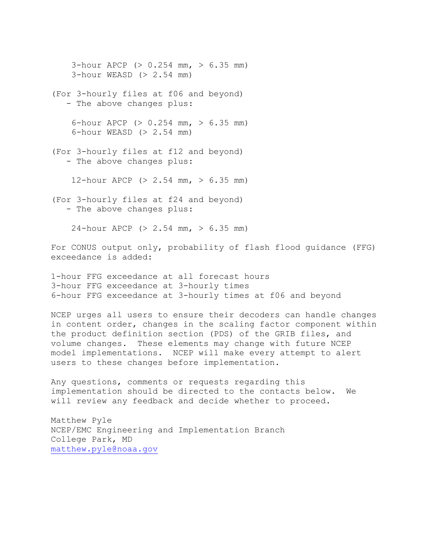3-hour APCP (> 0.254 mm, > 6.35 mm) 3-hour WEASD (> 2.54 mm) (For 3-hourly files at f06 and beyond) - The above changes plus: 6-hour APCP (> 0.254 mm, > 6.35 mm) 6-hour WEASD (> 2.54 mm) (For 3-hourly files at f12 and beyond) - The above changes plus: 12-hour APCP  $(> 2.54$  mm,  $> 6.35$  mm) (For 3-hourly files at f24 and beyond) - The above changes plus: 24-hour APCP (> 2.54 mm, > 6.35 mm)

For CONUS output only, probability of flash flood guidance (FFG) exceedance is added:

1-hour FFG exceedance at all forecast hours 3-hour FFG exceedance at 3-hourly times 6-hour FFG exceedance at 3-hourly times at f06 and beyond

NCEP urges all users to ensure their decoders can handle changes in content order, changes in the scaling factor component within the product definition section (PDS) of the GRIB files, and volume changes. These elements may change with future NCEP model implementations. NCEP will make every attempt to alert users to these changes before implementation.

Any questions, comments or requests regarding this implementation should be directed to the contacts below. We will review any feedback and decide whether to proceed.

Matthew Pyle NCEP/EMC Engineering and Implementation Branch College Park, MD [matthew.pyle@noaa.gov](mailto:matthew.pyle@noaa.gov)